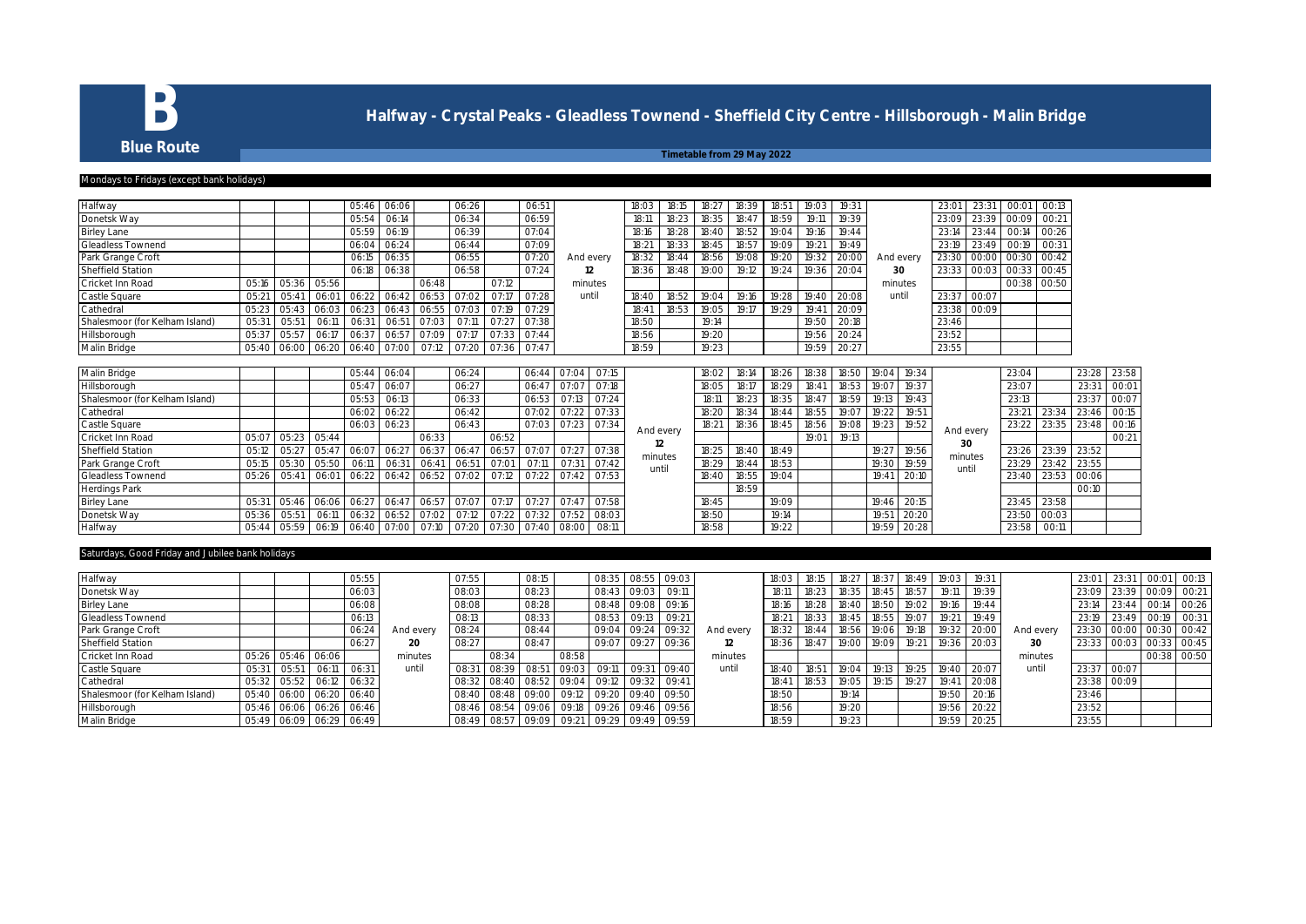

# **B** Halfway - Crystal Peaks - Gleadless Townend - Sheffield City Centre - Hillsborough - Malin Bridge<br>Blue Route

**Blue Route** From 29 May 2022

# Mondays to Fridays (except bank holidays)

### Halfway 05:46 06:06 06:26 06:51 18:03 18:15 18:27 18:39 18:51 19:03 19:31 23:01 23:31 00:01 00:13 Donetsk Way 05:54 06:14 06:34 06:59 18:11 18:23 18:35 18:47 18:59 19:11 19:39 23:09 23:39 00:09 00:21 Birley Lane 05:59 06:19 06:39 07:04 18:16 18:28 18:40 18:52 19:04 19:16 19:44 23:14 23:44 00:14 00:26 Gleadless Townend 06:04 06:24 06:44 07:09 18:21 18:33 18:45 18:57 19:09 19:21 19:49 23:19 23:49 00:19 00:31 Park Grange Croft 06:15 06:35 06:55 07:20 18:32 18:44 18:56 19:08 19:20 19:32 20:00 23:30 00:00 00:30 00:42 Sheffield Station 06:18 06:38 06:58 07:24 18:36 18:48 19:00 19:12 19:24 19:36 20:04 23:33 00:03 00:33 00:45 Cricket Inn Road | 05:16 | 05:36 | 05:56 | | | 06:48 | | 07:12 | | minutes | | | | | | | | | | | 00:38 | 00:50 Castle Square 05:21 05:41 06:01 06:22 06:42 06:53 07:02 07:17 07:28 18:40 18:52 19:04 19:16 19:28 19:40 20:08 23:37 00:07 Cathedral 05:23 05:43 06:03 06:23 06:43 06:55 07:03 07:19 07:29 18:41 18:53 19:05 19:17 19:29 19:41 20:09 23:38 00:09 Shalesmoor (for Kelham Island) 05:31 05:51 06:11 06:31 06:51 07:03 07:11 07:27 07:38 18:50 19:14 19:50 20:18 23:46<br>
Hillsborough 05:37 05:57 06:17 06:37 06:57 07:09 07:17 07:33 07:44 18:56 19:20 19:56 20:24 23:52 Hillsborough 05:37 05:57 06:17 06:37 06:57 07:09 07:17 07:33 07:44 18:56 19:20 19:56 20:24 19:56 20:24 23:52<br>Malin Bridge 05:40 06:00 06:20 06:40 07:00 07:12 07:20 07:36 07:47 18:59 19:33 19:33 19:59 20:27 23:55 Malin Bridge 05:40 06:00 06:20 06:40 07:00 07:12 07:20 07:36 07:47 And every **12** minutes until And every **30** minutes until

| Malin Bridge                   |       |                   |       | 05:44                                                 | 06:04 |        | 06:24                   |                   | 06:44 | 07:04 | 07:15 |           | 18:02 | 18:14 | 18:26 | 18:38 | 18:50 | 19:04      | 19:34 |           | 23:04 |       | 23:28       | 23:58 |
|--------------------------------|-------|-------------------|-------|-------------------------------------------------------|-------|--------|-------------------------|-------------------|-------|-------|-------|-----------|-------|-------|-------|-------|-------|------------|-------|-----------|-------|-------|-------------|-------|
| Hillsborough                   |       |                   |       | 05:47                                                 | 06:07 |        | 06:27                   |                   | 06:47 | 07:07 | 07:18 |           | 18:05 | 18:17 | 18:29 | 18:41 | 18:53 | $19:0^{-}$ | 19:37 |           | 23:07 |       | 23:31       | 00:01 |
| Shalesmoor (for Kelham Island) |       |                   |       | 05:53                                                 | 06:13 |        | 06:33                   |                   | 06:53 | O7:13 | 07:24 |           | 18:1  | 18:23 | 18:35 | 18:47 | 18:59 | 19:13      | 19:43 |           | 23:13 |       | 23:37       | 00:07 |
| Cathedral                      |       |                   |       | 06:02                                                 | 06:22 |        | 06:42                   |                   | 07:02 | 07:22 | 07:33 |           | 18:20 | 18:34 | 18:44 | 18:55 | 19:07 | 19:22      | 19:51 |           | 23:2  | 23:34 | 23:46       | 00:15 |
| Castle Square                  |       |                   |       | 06:03                                                 | 06:23 |        | 06:43                   |                   | 07:03 | O7:23 | 07:34 | And every | 18:21 | 18:36 | 18:45 | 18:56 | 19:08 | 19:23      | 19:52 | And every | 23:22 | 23:35 | 23:48       | 00:16 |
| Cricket Inn Road               | 05:07 | 05:23 05:44       |       |                                                       |       | 06:33  |                         | 06:52             |       |       |       |           |       |       |       | 19:01 | 19:13 |            |       | 30        |       |       |             | 00:21 |
| Sheffield Station              | 05:12 |                   |       | 05:27 05:47 06:07                                     | 06:27 |        |                         | 06:37 06:47 06:57 | 07:07 | 07:27 | 07:38 | minutes   | 18:25 | 18:40 | 18:49 |       |       | 19:27      | 19:56 | minutes   | 23:26 |       | 23:39 23:52 |       |
| Park Grange Croft              |       | 05:15 05:30 05:50 |       | 06:11                                                 | 06:31 | 106:41 | 06:51                   | 07:01             | 07:11 | 07:31 | 07:42 | until     | 18:29 | 18:44 | 18:53 |       |       | 19:3       | 19:59 | until     | 23:29 | 23:42 | 23:55       |       |
| Gleadless Townend              |       | 05:26 05:41 06:01 |       | 06:22                                                 |       |        | 06:42 06:52 07:02 07:12 |                   | 07:22 | Q7:42 | 07:53 |           | 18:40 | 18:55 | 19:04 |       |       | 19:4       | 20:10 |           | 23:40 |       | 23:53 00:06 |       |
| Herdings Park                  |       |                   |       |                                                       |       |        |                         |                   |       |       |       |           |       | 18:59 |       |       |       |            |       |           |       |       | 00:10       |       |
| <b>Birley Lane</b>             | 05:31 | 05:46             |       | 06:06 06:27                                           | 06:47 | 06:57  | 07:07                   | 07:17             | 07:27 | 07:47 | 07:58 |           | 18:45 |       | 19:09 |       |       | 19:46      | 20:15 |           | 23:45 | 23:58 |             |       |
| Donetsk Way                    | 05:36 | 05:51             | 06:11 | 06:32                                                 | 06:52 | 07:02  | 07:12                   | 07:22             | 07:32 | 07:52 | 08:03 |           | 18:50 |       | 19:14 |       |       | 19:51      | 20:20 |           | 23:50 | 00:03 |             |       |
| Halfway                        |       |                   |       | 05:44 05:59 06:19 06:40 07:00 07:10 07:20 07:30 07:40 |       |        |                         |                   |       | 08:00 | O8:11 |           | 18:58 |       | 19:22 |       |       | 19:59      | 20:28 |           | 23:58 | 00:11 |             |       |

## turdays, Good Friday and Jubilee bank holidays

| Halfway                        |       |             |       | 05:55       |           | 07:55 |       | 08:15             |       | 08:35             |       | 08:55 09:03 |           | 18:03 |       | 18:27       | 18:37 | 18:49 | 19:03 |       |           | 23:01 |        | 00:01 | 00:13       |
|--------------------------------|-------|-------------|-------|-------------|-----------|-------|-------|-------------------|-------|-------------------|-------|-------------|-----------|-------|-------|-------------|-------|-------|-------|-------|-----------|-------|--------|-------|-------------|
| Donetsk Way                    |       |             |       | 06:03       |           | 08:03 |       | 08:23             |       | $08:4^{\circ}$    | 09:03 | 09:11       |           | 18:11 |       | 18:35       | 18:45 | 18:57 | 19:11 | 19:39 |           | 23:09 | 23:39  | 00:09 | 00:21       |
| <b>Birley Lane</b>             |       |             |       | 06:08       |           | 08:08 |       | 08:28             |       | 08:48 09:08       |       | 09:16       |           | 18:16 |       | 18:40 18:50 |       | 19:02 | 19:16 | 19:44 |           | 23:14 | 23:44  | 00:14 | 00:26       |
| <b>Gleadless Townend</b>       |       |             |       | 06:13       |           | 08:13 |       | 08:33             |       | 08:53             | 09:13 | 09:21       |           | 18:21 |       | 18:45 18:55 |       | 19:0  | 19:21 | 19:49 |           | 23:19 | 23:49  | 00:19 | 00:31       |
| Park Grange Croft              |       |             |       | 06:24       | And every | 08:24 |       | 08:44             |       | 09:04             | 09:24 | 09:32       | And every | 18:32 |       | 18:56       | 19:06 | 19:18 | 19:32 | 20:00 | And every | 23:30 | 00:00  |       | 00:30 00:42 |
| Sheffield Station              |       |             |       | 06:27       | 20        | 08:2  |       | 08:47             |       | 09:07             | 09:27 | 09:36       |           | 18:36 | 18:47 | 19:00 19:09 |       | 19:21 | 19:36 | 20:03 | 30        | 23:33 | 00:03  |       | 00:33 00:45 |
| Cricket Inn Road               | 05:26 | 05:46       | 06:06 |             | minutes   |       | 08:34 |                   | 08:58 |                   |       |             | minutes   |       |       |             |       |       |       |       | minutes   |       |        |       | 00:38 00:50 |
| Castle Square                  | 05:31 | 05:5        | 06:1  |             | until     | 08:3  | 08:39 | 08:51             | 09:03 | 09:11             | 09:3  | 09:40       | until     | 18:40 | 18:51 | 19:04       | 19:13 | 19:25 | 19:40 | 20:07 | until     | 23:37 | 00:07  |       |             |
| Cathedral                      | 05:32 | 05:52       | 06:12 | 06:32       |           | 08:3  | 08:40 | 08:52             | 09:04 | 09:12             | 09:32 | 09:41       |           | 18:41 |       | 19:05       | 19:15 | 19:2  | 19:41 | 20:08 |           | 23:38 | 100:09 |       |             |
| Shalesmoor (for Kelham Island) | 05:40 | 06:00       |       | 06:20 06:40 |           | 08:40 |       | 08:48 09:00 09:12 |       | 209:20            | 09:40 | 09:50       |           | 18:50 |       | 19:1        |       |       | 19:50 | 20:16 |           | 23:46 |        |       |             |
| Hillsborough                   | 05:46 | 06:06       |       | 06:26 06:46 |           | 08:4  |       | 08:54 09:06       |       | 09:18 09:26       |       | 09:46 09:56 |           | 18:56 |       | 19:20       |       |       | 19:56 | 20:22 |           | 23:52 |        |       |             |
| Malin Bridge                   |       | 05:49 06:09 |       | 06:29 06:49 |           | 08:49 | 08:57 | 09:09             | 09:21 | 09:29 09:49 09:59 |       |             |           | 18:59 |       | 19:23       |       |       | 19:59 | 20:25 |           | 23:55 |        |       |             |